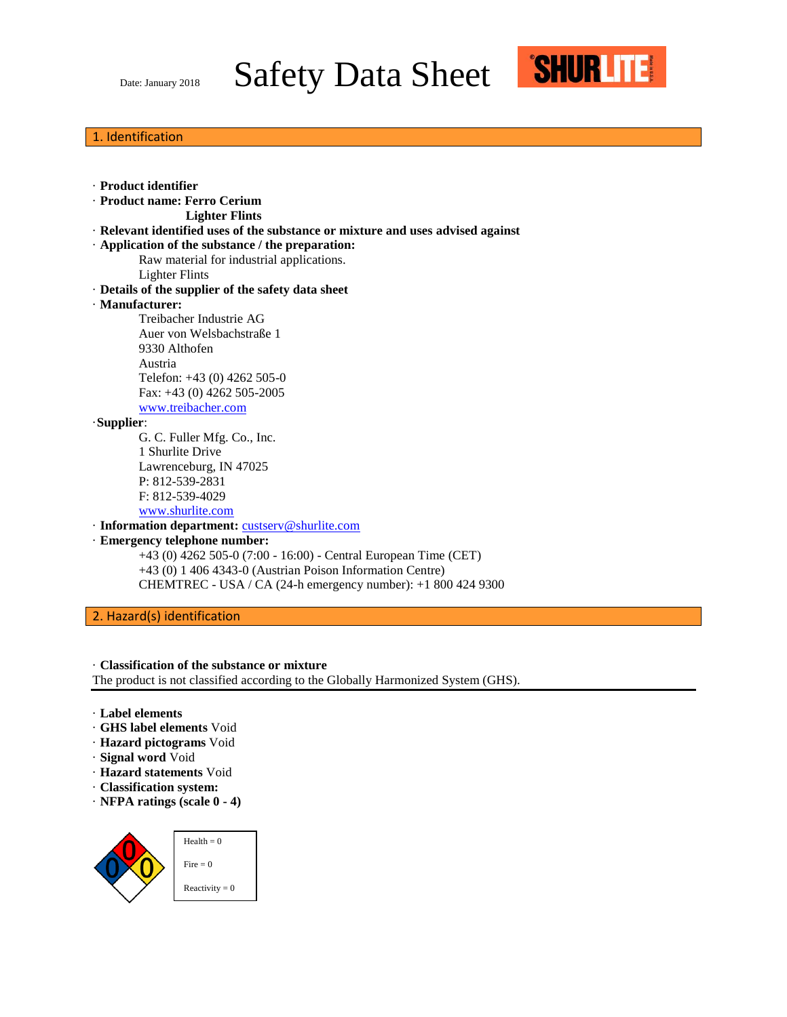Date: January 2018 Safety Data Sheet



## 1. Identification

| · Product identifier                                                            |
|---------------------------------------------------------------------------------|
| · Product name: Ferro Cerium                                                    |
| <b>Lighter Flints</b>                                                           |
| · Relevant identified uses of the substance or mixture and uses advised against |
| $\cdot$ Application of the substance / the preparation:                         |
| Raw material for industrial applications.                                       |
| <b>Lighter Flints</b>                                                           |
| · Details of the supplier of the safety data sheet                              |
| · Manufacturer:                                                                 |
| Treibacher Industrie AG                                                         |
| Auer von Welsbachstraße 1                                                       |
| 9330 Althofen                                                                   |
| Austria                                                                         |
| Telefon: +43 (0) 4262 505-0                                                     |
| Fax: +43 (0) 4262 505-2005                                                      |
| www.treibacher.com                                                              |
| $\cdot$ Supplier:                                                               |
| G. C. Fuller Mfg. Co., Inc.                                                     |
| 1 Shurlite Drive                                                                |
| Lawrenceburg, IN 47025                                                          |
| P: 812-539-2831                                                                 |
| F: 812-539-4029                                                                 |
| www.shurlite.com                                                                |
| · Information department: custserv@shurlite.com                                 |
| · Emergency telephone number:                                                   |
| +43 (0) 4262 505-0 (7:00 - 16:00) - Central European Time (CET)                 |
| $+43$ (0) 1 406 4343-0 (Austrian Poison Information Centre)                     |
| CHEMTREC - USA / CA (24-h emergency number): +1 800 424 9300                    |
|                                                                                 |

2. Hazard(s) identification

### · **Classification of the substance or mixture**

The product is not classified according to the Globally Harmonized System (GHS).

- · **Label elements**
- · **GHS label elements** Void
- · **Hazard pictograms** Void
- · **Signal word** Void
- · **Hazard statements** Void
- · **Classification system:**
- · **NFPA ratings (scale 0 - 4)**

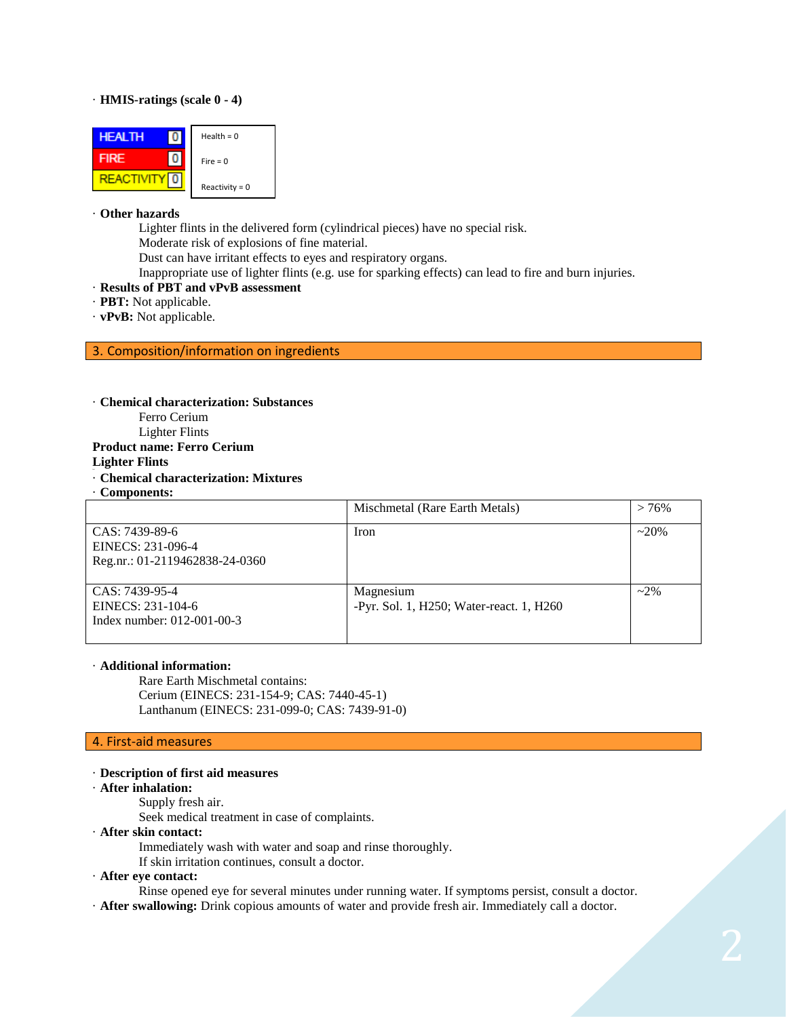#### · **HMIS-ratings (scale 0 - 4)**



#### · **Other hazards**

Lighter flints in the delivered form (cylindrical pieces) have no special risk. Moderate risk of explosions of fine material.

Dust can have irritant effects to eyes and respiratory organs.

Inappropriate use of lighter flints (e.g. use for sparking effects) can lead to fire and burn injuries.

- · **Results of PBT and vPvB assessment**
- · **PBT:** Not applicable.
- · **vPvB:** Not applicable.

#### 3. Composition/information on ingredients

#### · **Chemical characterization: Substances**

- Ferro Cerium
- Lighter Flints

#### **Product name: Ferro Cerium**

### **Lighter Flints**

#### · **Chemical characterization: Mixtures**

· **Components:**

|                                                                       | Mischmetal (Rare Earth Metals)                        | $>76\%$ |
|-----------------------------------------------------------------------|-------------------------------------------------------|---------|
| CAS: 7439-89-6<br>EINECS: 231-096-4<br>Reg.nr.: 01-2119462838-24-0360 | <b>Iron</b>                                           | $~20\%$ |
| CAS: 7439-95-4<br>EINECS: 231-104-6<br>Index number: 012-001-00-3     | Magnesium<br>-Pyr. Sol. 1, H250; Water-react. 1, H260 | $~2\%$  |

#### · **Additional information:**

Rare Earth Mischmetal contains: Cerium (EINECS: 231-154-9; CAS: 7440-45-1) Lanthanum (EINECS: 231-099-0; CAS: 7439-91-0)

### 4. First-aid measures

#### · **Description of first aid measures**

#### · **After inhalation:**

- Supply fresh air.
	- Seek medical treatment in case of complaints.
- · **After skin contact:**
	- Immediately wash with water and soap and rinse thoroughly.
	- If skin irritation continues, consult a doctor.
- · **After eye contact:**

Rinse opened eye for several minutes under running water. If symptoms persist, consult a doctor.

· **After swallowing:** Drink copious amounts of water and provide fresh air. Immediately call a doctor.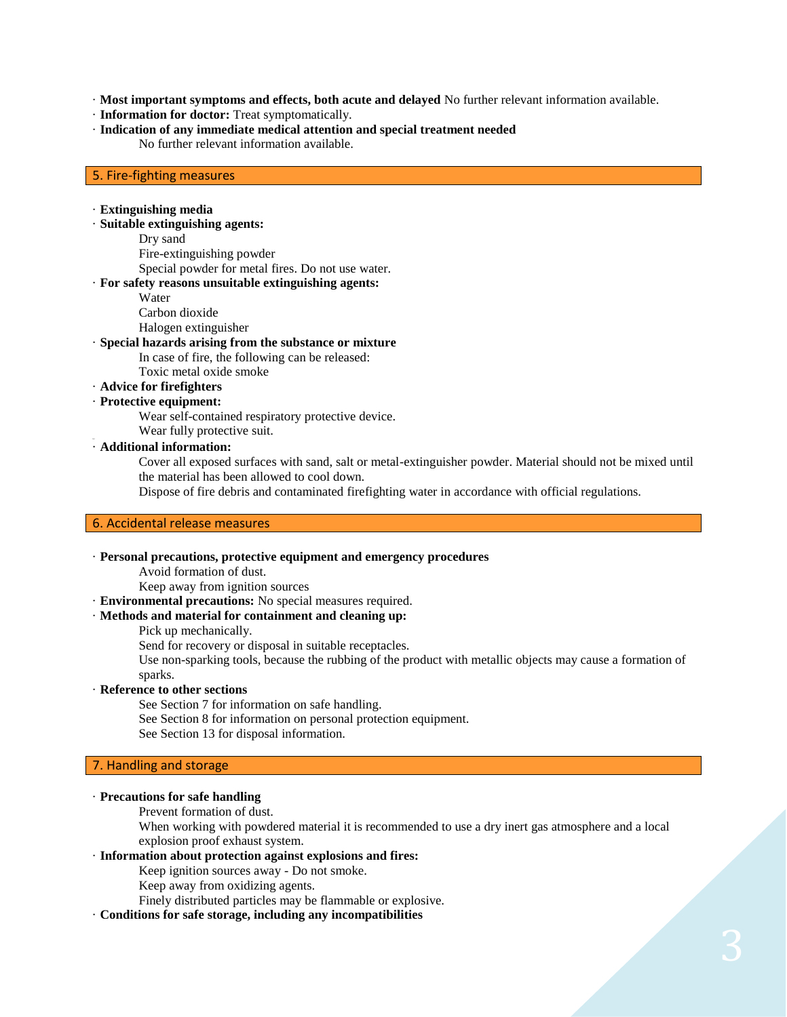· **Most important symptoms and effects, both acute and delayed** No further relevant information available.

- · **Information for doctor:** Treat symptomatically.
- · **Indication of any immediate medical attention and special treatment needed** No further relevant information available.

#### 5. Fire-fighting measures

#### · **Extinguishing media**

· **Suitable extinguishing agents:**

Dry sand

Fire-extinguishing powder

Special powder for metal fires. Do not use water.

# · **For safety reasons unsuitable extinguishing agents:**

Water

Carbon dioxide

Halogen extinguisher

### · **Special hazards arising from the substance or mixture**

In case of fire, the following can be released:

Toxic metal oxide smoke

# · **Advice for firefighters**

## · **Protective equipment:**

Wear self-contained respiratory protective device.

Wear fully protective suit.

# 38.0 · **Additional information:**

Cover all exposed surfaces with sand, salt or metal-extinguisher powder. Material should not be mixed until the material has been allowed to cool down.

Dispose of fire debris and contaminated firefighting water in accordance with official regulations.

# 6. Accidental release measures

#### · **Personal precautions, protective equipment and emergency procedures**

Avoid formation of dust.

Keep away from ignition sources

· **Environmental precautions:** No special measures required.

#### · **Methods and material for containment and cleaning up:**

Pick up mechanically.

Send for recovery or disposal in suitable receptacles.

Use non-sparking tools, because the rubbing of the product with metallic objects may cause a formation of sparks.

#### · **Reference to other sections**

See Section 7 for information on safe handling.

- See Section 8 for information on personal protection equipment.
- See Section 13 for disposal information.

### 7. Handling and storage

### · **Precautions for safe handling**

Prevent formation of dust.

When working with powdered material it is recommended to use a dry inert gas atmosphere and a local explosion proof exhaust system.

# · **Information about protection against explosions and fires:**

Keep ignition sources away - Do not smoke.

Keep away from oxidizing agents.

Finely distributed particles may be flammable or explosive.

#### · **Conditions for safe storage, including any incompatibilities**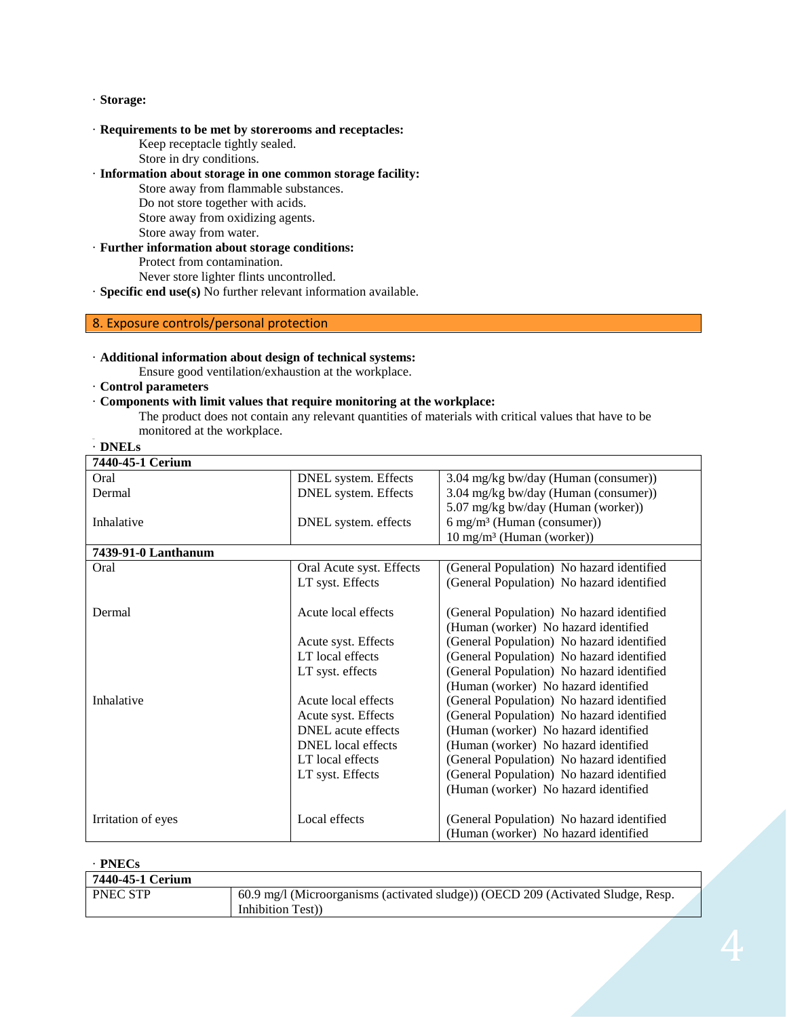#### · **Storage:**

- · **Requirements to be met by storerooms and receptacles:**
	- Keep receptacle tightly sealed.
	- Store in dry conditions.
- · **Information about storage in one common storage facility:**
	- Store away from flammable substances.
	- Do not store together with acids.
	- Store away from oxidizing agents.
	- Store away from water.
- · **Further information about storage conditions:**
	- Protect from contamination.
	- Never store lighter flints uncontrolled.
- · **Specific end use(s)** No further relevant information available.

# 8. Exposure controls/personal protection

## · **Additional information about design of technical systems:**

Ensure good ventilation/exhaustion at the workplace.

· **Control parameters**

## · **Components with limit values that require monitoring at the workplace:**

The product does not contain any relevant quantities of materials with critical values that have to be monitored at the workplace.

| Ν.<br>ı<br>Н.<br>ь<br>. . |  |
|---------------------------|--|
|---------------------------|--|

| 7440-45-1 Cerium    |                           |                                           |
|---------------------|---------------------------|-------------------------------------------|
| Oral                | DNEL system. Effects      | 3.04 mg/kg bw/day (Human (consumer))      |
| Dermal              | DNEL system. Effects      | 3.04 mg/kg bw/day (Human (consumer))      |
|                     |                           | 5.07 mg/kg bw/day (Human (worker))        |
| Inhalative          | DNEL system. effects      | $6$ mg/m <sup>3</sup> (Human (consumer))  |
|                     |                           | $10 \text{ mg/m}^3$ (Human (worker))      |
| 7439-91-0 Lanthanum |                           |                                           |
| Oral                | Oral Acute syst. Effects  | (General Population) No hazard identified |
|                     | LT syst. Effects          | (General Population) No hazard identified |
|                     |                           |                                           |
| Dermal              | Acute local effects       | (General Population) No hazard identified |
|                     |                           | (Human (worker) No hazard identified      |
|                     | Acute syst. Effects       | (General Population) No hazard identified |
|                     | LT local effects          | (General Population) No hazard identified |
|                     | LT syst. effects          | (General Population) No hazard identified |
|                     |                           | (Human (worker) No hazard identified      |
| Inhalative          | Acute local effects       | (General Population) No hazard identified |
|                     | Acute syst. Effects       | (General Population) No hazard identified |
|                     | <b>DNEL</b> acute effects | (Human (worker) No hazard identified      |
|                     | <b>DNEL</b> local effects | (Human (worker) No hazard identified      |
|                     | LT local effects          | (General Population) No hazard identified |
|                     | LT syst. Effects          | (General Population) No hazard identified |
|                     |                           | (Human (worker) No hazard identified      |
|                     |                           |                                           |
| Irritation of eyes  | Local effects             | (General Population) No hazard identified |
|                     |                           | (Human (worker) No hazard identified      |

### · **PNECs**

| 7440-45-1 Cerium |                                                                                  |  |
|------------------|----------------------------------------------------------------------------------|--|
| <b>PNEC STP</b>  | 60.9 mg/l (Microorganisms (activated sludge)) (OECD 209 (Activated Sludge, Resp. |  |
|                  | Inhibition Test)                                                                 |  |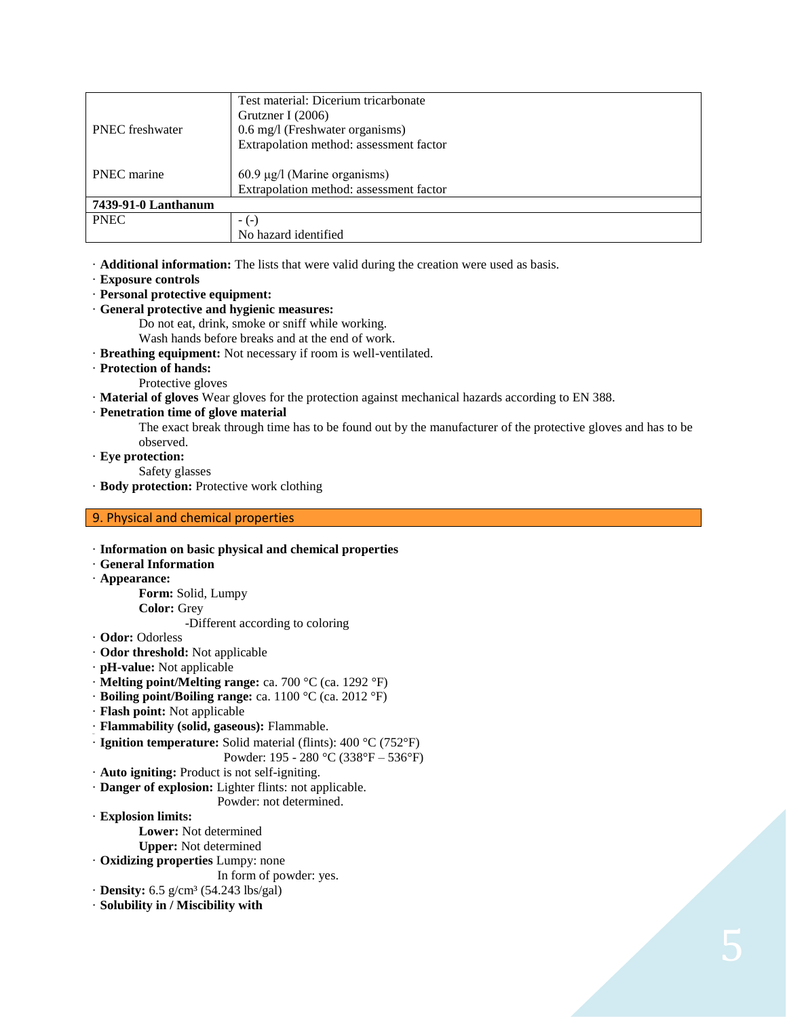|                        | Test material: Dicerium tricarbonate    |
|------------------------|-----------------------------------------|
|                        | Grutzner I $(2006)$                     |
| <b>PNEC</b> freshwater | 0.6 mg/l (Freshwater organisms)         |
|                        | Extrapolation method: assessment factor |
|                        |                                         |
| <b>PNEC</b> marine     | $60.9 \mu g/l$ (Marine organisms)       |
|                        | Extrapolation method: assessment factor |
| 7439-91-0 Lanthanum    |                                         |
| <b>PNEC</b>            | $-(-)$                                  |
|                        | No hazard identified                    |

· **Additional information:** The lists that were valid during the creation were used as basis.

- · **Exposure controls**
- · **Personal protective equipment:**
- · **General protective and hygienic measures:**

Do not eat, drink, smoke or sniff while working.

Wash hands before breaks and at the end of work.

· **Breathing equipment:** Not necessary if room is well-ventilated.

- · **Protection of hands:**
	- Protective gloves

· **Material of gloves** Wear gloves for the protection against mechanical hazards according to EN 388.

### · **Penetration time of glove material**

The exact break through time has to be found out by the manufacturer of the protective gloves and has to be observed.

· **Eye protection:**

Safety glasses

· **Body protection:** Protective work clothing

### 9. Physical and chemical properties

· **Information on basic physical and chemical properties** · **General Information** · **Appearance: Form:** Solid, Lumpy **Color:** Grey -Different according to coloring · **Odor:** Odorless · **Odor threshold:** Not applicable · **pH-value:** Not applicable · **Melting point/Melting range:** ca. 700 °C (ca. 1292 °F) · **Boiling point/Boiling range:** ca. 1100 °C (ca. 2012 °F) · **Flash point:** Not applicable · **Flammability (solid, gaseous):** Flammable. 38.0 · **Ignition temperature:** Solid material (flints): 400 °C (752°F) Powder: 195 - 280 °C (338°F – 536°F) · **Auto igniting:** Product is not self-igniting. · **Danger of explosion:** Lighter flints: not applicable. Powder: not determined. · **Explosion limits: Lower:** Not determined **Upper:** Not determined · **Oxidizing properties** Lumpy: none In form of powder: yes. · **Density:** 6.5 g/cm³ (54.243 lbs/gal) · **Solubility in / Miscibility with**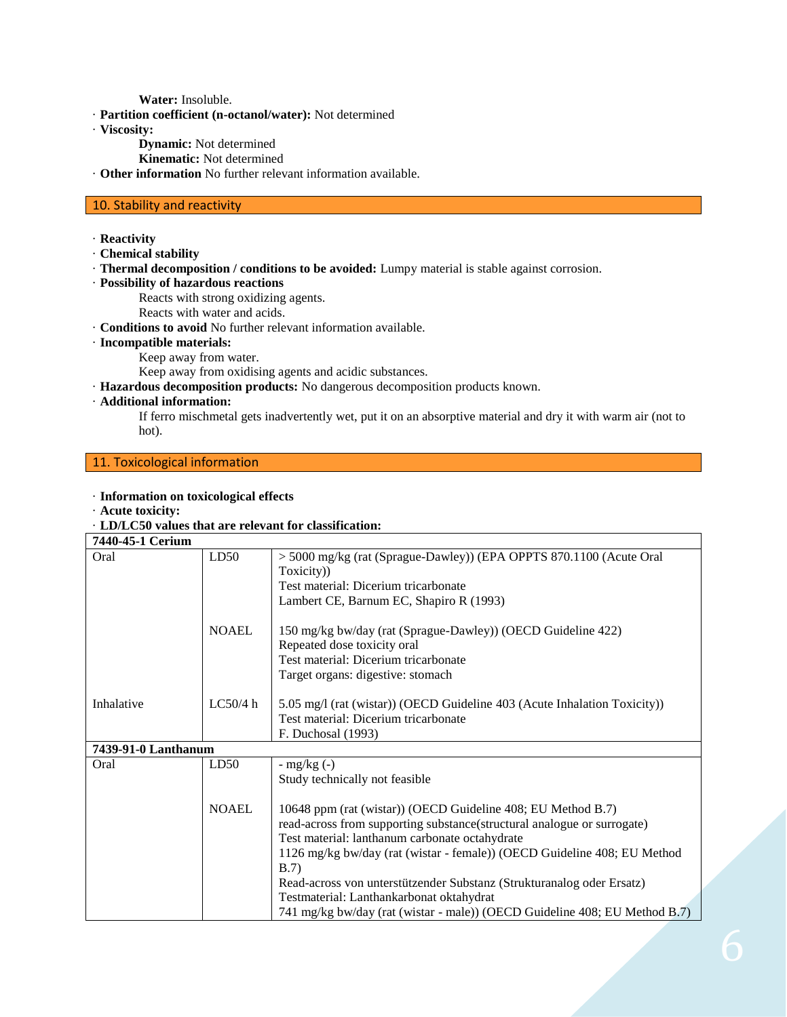**Water:** Insoluble.

· **Partition coefficient (n-octanol/water):** Not determined

· **Viscosity:**

- **Dynamic:** Not determined
- **Kinematic:** Not determined
- · **Other information** No further relevant information available.

# 10. Stability and reactivity

- · **Reactivity**
- · **Chemical stability**
- · **Thermal decomposition / conditions to be avoided:** Lumpy material is stable against corrosion.
- · **Possibility of hazardous reactions**

Reacts with strong oxidizing agents.

- Reacts with water and acids.
- · **Conditions to avoid** No further relevant information available.
- · **Incompatible materials:**
	- Keep away from water.

Keep away from oxidising agents and acidic substances.

- · **Hazardous decomposition products:** No dangerous decomposition products known.
- · **Additional information:**

If ferro mischmetal gets inadvertently wet, put it on an absorptive material and dry it with warm air (not to hot).

# 11. Toxicological information

#### · **Information on toxicological effects**

· **Acute toxicity:**

#### · **LD/LC50 values that are relevant for classification:**

| 7440-45-1 Cerium    |              |                                                                            |
|---------------------|--------------|----------------------------------------------------------------------------|
| Oral                | LD50         | > 5000 mg/kg (rat (Sprague-Dawley)) (EPA OPPTS 870.1100 (Acute Oral        |
|                     |              | Toxicity)                                                                  |
|                     |              | Test material: Dicerium tricarbonate                                       |
|                     |              | Lambert CE, Barnum EC, Shapiro R (1993)                                    |
|                     | <b>NOAEL</b> | 150 mg/kg bw/day (rat (Sprague-Dawley)) (OECD Guideline 422)               |
|                     |              | Repeated dose toxicity oral                                                |
|                     |              | Test material: Dicerium tricarbonate                                       |
|                     |              | Target organs: digestive: stomach                                          |
| Inhalative          | LC50/4 h     | 5.05 mg/l (rat (wistar)) (OECD Guideline 403 (Acute Inhalation Toxicity))  |
|                     |              | Test material: Dicerium tricarbonate                                       |
|                     |              | F. Duchosal (1993)                                                         |
| 7439-91-0 Lanthanum |              |                                                                            |
| Oral                | LD50         | - $mg/kg(-)$                                                               |
|                     |              | Study technically not feasible                                             |
|                     | <b>NOAEL</b> | 10648 ppm (rat (wistar)) (OECD Guideline 408; EU Method B.7)               |
|                     |              | read-across from supporting substance(structural analogue or surrogate)    |
|                     |              | Test material: lanthanum carbonate octahydrate                             |
|                     |              | 1126 mg/kg bw/day (rat (wistar - female)) (OECD Guideline 408; EU Method   |
|                     |              | B.7)                                                                       |
|                     |              | Read-across von unterstützender Substanz (Strukturanalog oder Ersatz)      |
|                     |              | Testmaterial: Lanthankarbonat oktahydrat                                   |
|                     |              | 741 mg/kg bw/day (rat (wistar - male)) (OECD Guideline 408; EU Method B.7) |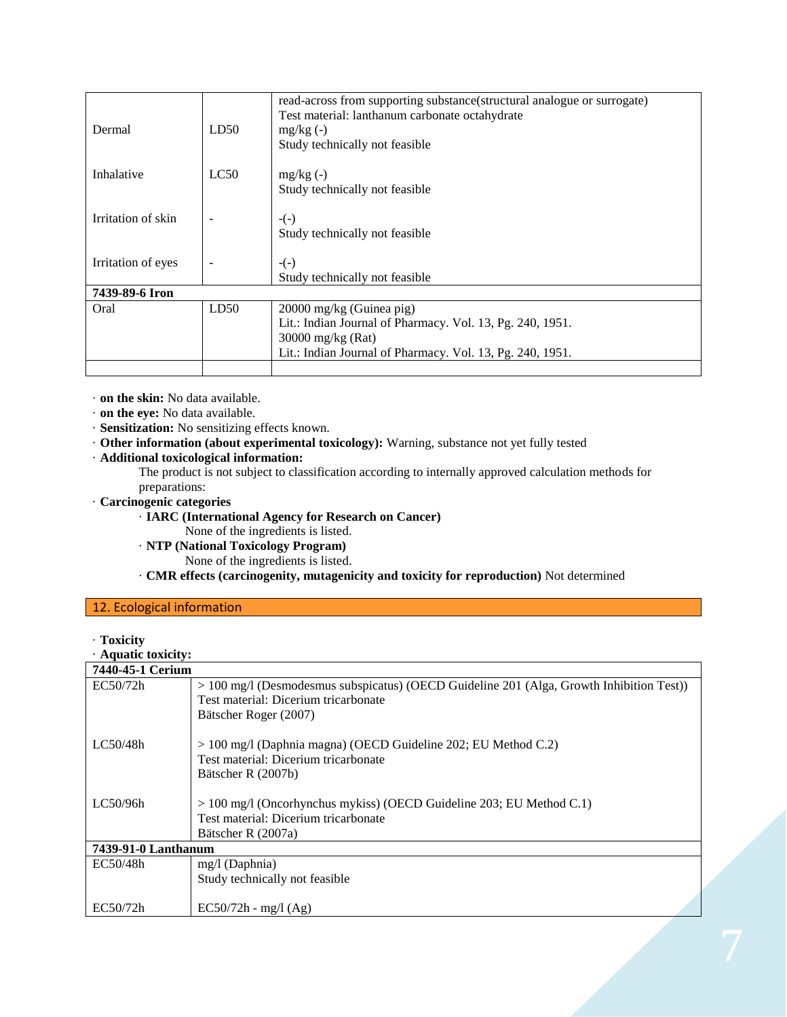| Dermal             | LD50 | read-across from supporting substance(structural analogue or surrogate)<br>Test material: lanthanum carbonate octahydrate<br>$mg/kg(-)$ |
|--------------------|------|-----------------------------------------------------------------------------------------------------------------------------------------|
|                    |      | Study technically not feasible                                                                                                          |
| Inhalative         | LC50 | $mg/kg(-)$                                                                                                                              |
|                    |      | Study technically not feasible                                                                                                          |
| Irritation of skin |      | $-(-)$                                                                                                                                  |
|                    |      | Study technically not feasible                                                                                                          |
| Irritation of eyes |      | $-(-)$                                                                                                                                  |
|                    |      | Study technically not feasible                                                                                                          |
| 7439-89-6 Iron     |      |                                                                                                                                         |
| Oral               | LD50 | 20000 mg/kg (Guinea pig)                                                                                                                |
|                    |      | Lit.: Indian Journal of Pharmacy. Vol. 13, Pg. 240, 1951.                                                                               |
|                    |      | $30000$ mg/kg (Rat)                                                                                                                     |
|                    |      | Lit.: Indian Journal of Pharmacy. Vol. 13, Pg. 240, 1951.                                                                               |
|                    |      |                                                                                                                                         |

· **on the skin:** No data available.

· **on the eye:** No data available.

· **Sensitization:** No sensitizing effects known.

· **Other information (about experimental toxicology):** Warning, substance not yet fully tested

· **Additional toxicological information:**

The product is not subject to classification according to internally approved calculation methods for preparations:

- · **Carcinogenic categories**
	- · **IARC (International Agency for Research on Cancer)**
		- None of the ingredients is listed.

· **NTP (National Toxicology Program)**

None of the ingredients is listed.

· **CMR effects (carcinogenity, mutagenicity and toxicity for reproduction)** Not determined

# 12. Ecological information

· **Toxicity**

· **Aquatic toxicity:**

| 7440-45-1 Cerium    |                                                                                            |  |
|---------------------|--------------------------------------------------------------------------------------------|--|
| EC50/72h            | $> 100$ mg/l (Desmodesmus subspicatus) (OECD Guideline 201 (Alga, Growth Inhibition Test)) |  |
|                     | Test material: Dicerium tricarbonate                                                       |  |
|                     | Bätscher Roger (2007)                                                                      |  |
| LC50/48h            |                                                                                            |  |
|                     | $> 100$ mg/l (Daphnia magna) (OECD Guideline 202; EU Method C.2)                           |  |
|                     | Test material: Dicerium tricarbonate                                                       |  |
|                     | Bätscher R (2007b)                                                                         |  |
|                     |                                                                                            |  |
| LC50/96h            | $> 100$ mg/l (Oncorhynchus mykiss) (OECD Guideline 203; EU Method C.1)                     |  |
|                     | Test material: Dicerium tricarbonate                                                       |  |
|                     | Bätscher R (2007a)                                                                         |  |
| 7439-91-0 Lanthanum |                                                                                            |  |
| EC50/48h            | $mg/l$ (Daphnia)                                                                           |  |
|                     | Study technically not feasible                                                             |  |
|                     |                                                                                            |  |
| EC50/72h            | $EC50/72h - mg/l (Ag)$                                                                     |  |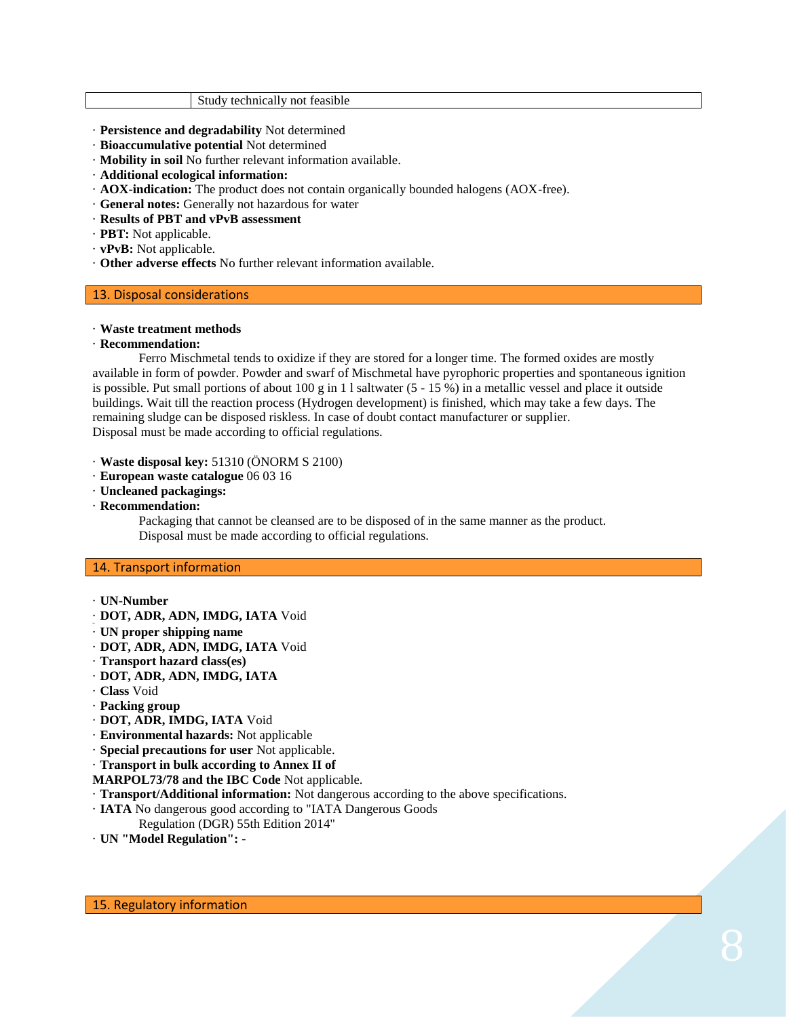#### Study technically not feasible

- · **Persistence and degradability** Not determined
- · **Bioaccumulative potential** Not determined
- · **Mobility in soil** No further relevant information available.
- · **Additional ecological information:**
- · **AOX-indication:** The product does not contain organically bounded halogens (AOX-free).
- · **General notes:** Generally not hazardous for water
- · **Results of PBT and vPvB assessment**
- · **PBT:** Not applicable.
- · **vPvB:** Not applicable.
- · **Other adverse effects** No further relevant information available.

### 13. Disposal considerations

#### · **Waste treatment methods**

#### · **Recommendation:**

Ferro Mischmetal tends to oxidize if they are stored for a longer time. The formed oxides are mostly available in form of powder. Powder and swarf of Mischmetal have pyrophoric properties and spontaneous ignition is possible. Put small portions of about 100 g in 1 l saltwater  $(5 - 15\%)$  in a metallic vessel and place it outside buildings. Wait till the reaction process (Hydrogen development) is finished, which may take a few days. The remaining sludge can be disposed riskless. In case of doubt contact manufacturer or supplier. Disposal must be made according to official regulations.

- · **Waste disposal key:** 51310 (ÖNORM S 2100)
- · **European waste catalogue** 06 03 16
- · **Uncleaned packagings:**
- · **Recommendation:**

Packaging that cannot be cleansed are to be disposed of in the same manner as the product. Disposal must be made according to official regulations.

### 14. Transport information

- · **UN-Number**
- · **DOT, ADR, ADN, IMDG, IATA** Void
- · **UN proper shipping name**
- · **DOT, ADR, ADN, IMDG, IATA** Void
- · **Transport hazard class(es)**
- · **DOT, ADR, ADN, IMDG, IATA**
- · **Class** Void
- · **Packing group**
- · **DOT, ADR, IMDG, IATA** Void
- · **Environmental hazards:** Not applicable
- · **Special precautions for user** Not applicable.
- · **Transport in bulk according to Annex II of**
- **MARPOL73/78 and the IBC Code** Not applicable.
- · **Transport/Additional information:** Not dangerous according to the above specifications.
- · **IATA** No dangerous good according to "IATA Dangerous Goods
- Regulation (DGR) 55th Edition 2014"
- · **UN "Model Regulation":** -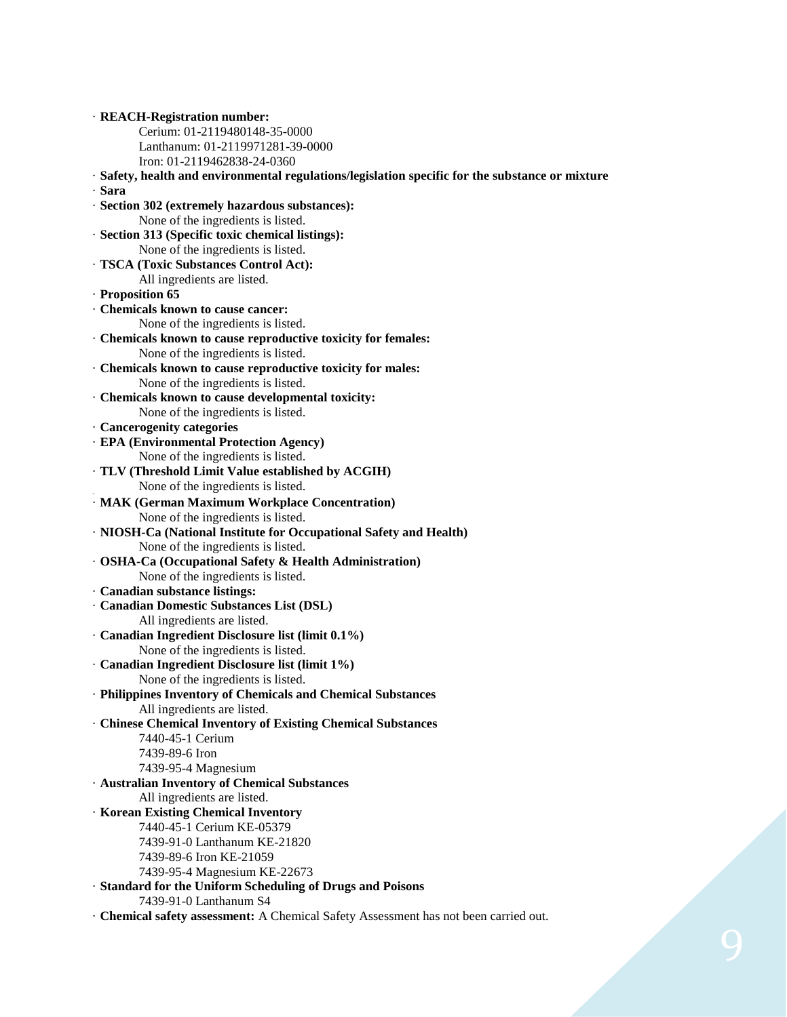· **REACH-Registration number:** Cerium: 01-2119480148-35-0000 Lanthanum: 01-2119971281-39-0000 Iron: 01-2119462838-24-0360 · **Safety, health and environmental regulations/legislation specific for the substance or mixture** · **Sara** · **Section 302 (extremely hazardous substances):** None of the ingredients is listed. · **Section 313 (Specific toxic chemical listings):** None of the ingredients is listed. · **TSCA (Toxic Substances Control Act):** All ingredients are listed. · **Proposition 65** · **Chemicals known to cause cancer:** None of the ingredients is listed. · **Chemicals known to cause reproductive toxicity for females:** None of the ingredients is listed. · **Chemicals known to cause reproductive toxicity for males:** None of the ingredients is listed. · **Chemicals known to cause developmental toxicity:** None of the ingredients is listed. · **Cancerogenity categories** · **EPA (Environmental Protection Agency)** None of the ingredients is listed. · **TLV (Threshold Limit Value established by ACGIH)** None of the ingredients is listed. · **MAK (German Maximum Workplace Concentration)** None of the ingredients is listed. · **NIOSH-Ca (National Institute for Occupational Safety and Health)** None of the ingredients is listed. · **OSHA-Ca (Occupational Safety & Health Administration)** None of the ingredients is listed. · **Canadian substance listings:** · **Canadian Domestic Substances List (DSL)** All ingredients are listed. · **Canadian Ingredient Disclosure list (limit 0.1%)** None of the ingredients is listed. · **Canadian Ingredient Disclosure list (limit 1%)** None of the ingredients is listed. · **Philippines Inventory of Chemicals and Chemical Substances** All ingredients are listed. · **Chinese Chemical Inventory of Existing Chemical Substances** 7440-45-1 Cerium 7439-89-6 Iron 7439-95-4 Magnesium · **Australian Inventory of Chemical Substances** All ingredients are listed. · **Korean Existing Chemical Inventory** 7440-45-1 Cerium KE-05379 7439-91-0 Lanthanum KE-21820 7439-89-6 Iron KE-21059 7439-95-4 Magnesium KE-22673 · **Standard for the Uniform Scheduling of Drugs and Poisons** 7439-91-0 Lanthanum S4

· **Chemical safety assessment:** A Chemical Safety Assessment has not been carried out.